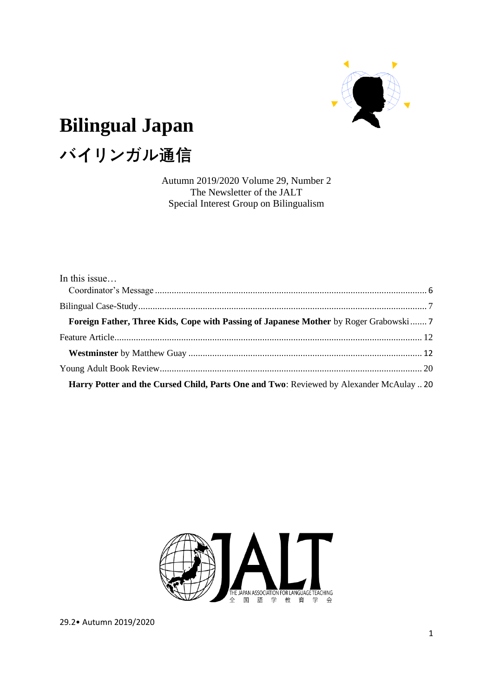

# **Bilingual Japan バイリンガル通信**

Autumn 2019/2020 Volume 29, Number 2 The Newsletter of the JALT Special Interest Group on Bilingualism

| In this issue                                                                           |  |
|-----------------------------------------------------------------------------------------|--|
|                                                                                         |  |
|                                                                                         |  |
| Foreign Father, Three Kids, Cope with Passing of Japanese Mother by Roger Grabowski 7   |  |
|                                                                                         |  |
|                                                                                         |  |
|                                                                                         |  |
| Harry Potter and the Cursed Child, Parts One and Two: Reviewed by Alexander McAulay  20 |  |

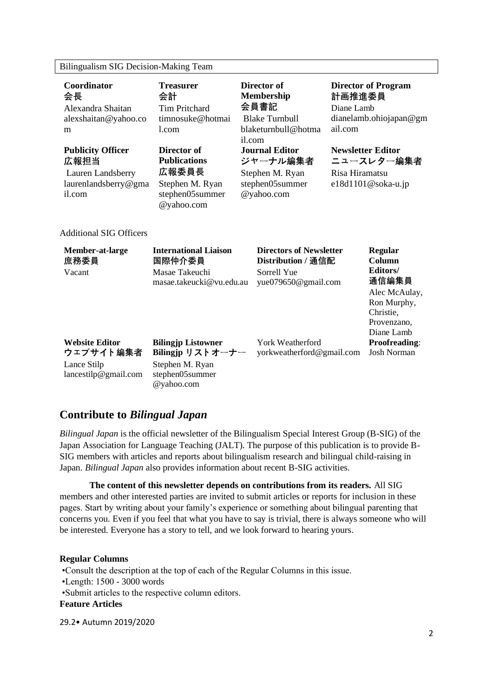# Bilingualism SIG Decision-Making Team

| Coordinator<br>会長<br>Alexandra Shaitan<br>alexshaitan@yahoo.co<br>m                     | <b>Treasurer</b><br>会計<br><b>Tim Pritchard</b><br>timnosuke@hotmai<br>1.com                       | Director of<br><b>Membership</b><br>会員書記<br><b>Blake Turnbull</b><br>blaketurnbull@hotma<br>il.com | 計画推進委員<br>Diane Lamb<br>ail.com | <b>Director of Program</b><br>dianelamb.ohiojapan@gm                                                             |  |  |
|-----------------------------------------------------------------------------------------|---------------------------------------------------------------------------------------------------|----------------------------------------------------------------------------------------------------|---------------------------------|------------------------------------------------------------------------------------------------------------------|--|--|
| <b>Publicity Officer</b><br>広報担当<br>Lauren Landsberry<br>laurenlandsberry@gma<br>il.com | Director of<br><b>Publications</b><br>広報委員長<br>Stephen M. Ryan<br>stephen05summer<br>@yahoo.com   | <b>Journal Editor</b><br>ジャーナル編集者<br>Stephen M. Ryan<br>stephen05summer<br>@yahoo.com              | Risa Hiramatsu                  | <b>Newsletter Editor</b><br>ニュースレター編集者<br>e18d1101@soka-u.jp                                                     |  |  |
| <b>Additional SIG Officers</b>                                                          |                                                                                                   |                                                                                                    |                                 |                                                                                                                  |  |  |
| Member-at-large<br>庶務委員<br>Vacant                                                       | <b>International Liaison</b><br>国際仲介委員<br>Masae Takeuchi<br>masae.takeucki@vu.edu.au              | <b>Directors of Newsletter</b><br>Distribution / 通信配<br>Sorrell Yue<br>yue079650@gmail.com         |                                 | Regular<br>Column<br>Editors/<br>通信編集員<br>Alec McAulay,<br>Ron Murphy,<br>Christie,<br>Provenzano,<br>Diane Lamb |  |  |
| <b>Website Editor</b><br>ウェブサイト編集者<br>Lance Stilp<br>lancestilp@gmail.com               | <b>Bilingjp Listowner</b><br>Bilingjp リストオーナー<br>Stephen M. Ryan<br>stephen05summer<br>@yahoo.com | York Weatherford<br>yorkweatherford@gmail.com                                                      |                                 | Proofreading:<br><b>Josh Norman</b>                                                                              |  |  |

# **Contribute to** *Bilingual Japan*

*Bilingual Japan* is the official newsletter of the Bilingualism Special Interest Group (B-SIG) of the Japan Association for Language Teaching (JALT). The purpose of this publication is to provide B-SIG members with articles and reports about bilingualism research and bilingual child-raising in Japan. *Bilingual Japan* also provides information about recent B-SIG activities.

**The content of this newsletter depends on contributions from its readers.** All SIG members and other interested parties are invited to submit articles or reports for inclusion in these pages. Start by writing about your family's experience or something about bilingual parenting that concerns you. Even if you feel that what you have to say is trivial, there is always someone who will be interested. Everyone has a story to tell, and we look forward to hearing yours.

# **Regular Columns**

•Consult the description at the top of each of the Regular Columns in this issue. •Length: 1500 - 3000 words •Submit articles to the respective column editors.

# **Feature Articles**

29.2• Autumn 2019/2020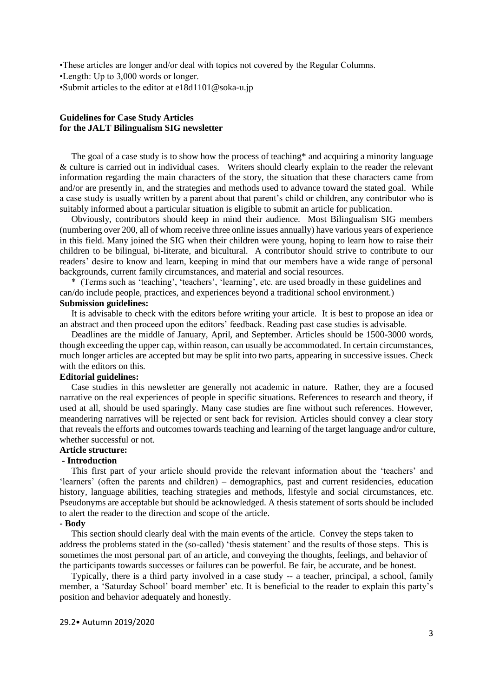•These articles are longer and/or deal with topics not covered by the Regular Columns. •Length: Up to 3,000 words or longer. •Submit articles to the editor at e18d1101@soka-u.jp

# **Guidelines for Case Study Articles for the JALT Bilingualism SIG newsletter**

The goal of a case study is to show how the process of teaching\* and acquiring a minority language & culture is carried out in individual cases. Writers should clearly explain to the reader the relevant information regarding the main characters of the story, the situation that these characters came from and/or are presently in, and the strategies and methods used to advance toward the stated goal. While a case study is usually written by a parent about that parent's child or children, any contributor who is suitably informed about a particular situation is eligible to submit an article for publication.

Obviously, contributors should keep in mind their audience. Most Bilingualism SIG members (numbering over 200, all of whom receive three online issues annually) have various years of experience in this field. Many joined the SIG when their children were young, hoping to learn how to raise their children to be bilingual, bi-literate, and bicultural. A contributor should strive to contribute to our readers' desire to know and learn, keeping in mind that our members have a wide range of personal backgrounds, current family circumstances, and material and social resources.

\* (Terms such as 'teaching', 'teachers', 'learning', etc. are used broadly in these guidelines and can/do include people, practices, and experiences beyond a traditional school environment.) **Submission guidelines:**

It is advisable to check with the editors before writing your article. It is best to propose an idea or an abstract and then proceed upon the editors' feedback. Reading past case studies is advisable.

Deadlines are the middle of January, April, and September. Articles should be 1500-3000 words, though exceeding the upper cap, within reason, can usually be accommodated. In certain circumstances, much longer articles are accepted but may be split into two parts, appearing in successive issues. Check with the editors on this.

#### **Editorial guidelines:**

Case studies in this newsletter are generally not academic in nature. Rather, they are a focused narrative on the real experiences of people in specific situations. References to research and theory, if used at all, should be used sparingly. Many case studies are fine without such references. However, meandering narratives will be rejected or sent back for revision. Articles should convey a clear story that reveals the efforts and outcomes towards teaching and learning of the target language and/or culture, whether successful or not.

# **Article structure:**

## **- Introduction**

This first part of your article should provide the relevant information about the 'teachers' and 'learners' (often the parents and children) – demographics, past and current residencies, education history, language abilities, teaching strategies and methods, lifestyle and social circumstances, etc. Pseudonyms are acceptable but should be acknowledged. A thesis statement of sorts should be included to alert the reader to the direction and scope of the article.

#### **- Body**

This section should clearly deal with the main events of the article. Convey the steps taken to address the problems stated in the (so-called) 'thesis statement' and the results of those steps. This is sometimes the most personal part of an article, and conveying the thoughts, feelings, and behavior of the participants towards successes or failures can be powerful. Be fair, be accurate, and be honest.

Typically, there is a third party involved in a case study -- a teacher, principal, a school, family member, a 'Saturday School' board member' etc. It is beneficial to the reader to explain this party's position and behavior adequately and honestly.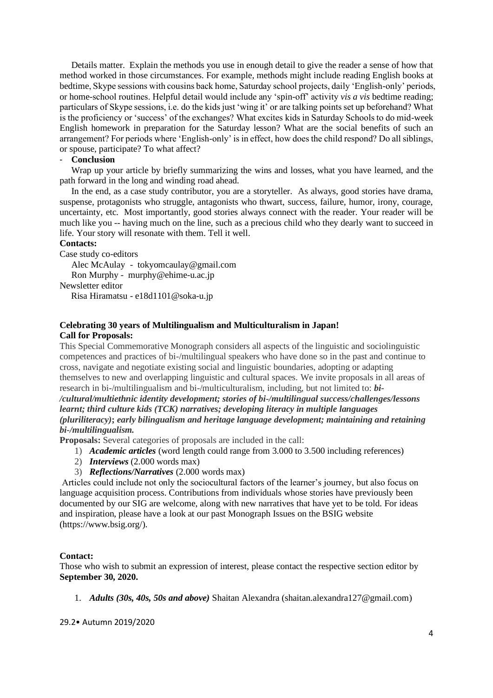Details matter. Explain the methods you use in enough detail to give the reader a sense of how that method worked in those circumstances. For example, methods might include reading English books at bedtime, Skype sessions with cousins back home, Saturday school projects, daily 'English-only' periods, or home-school routines. Helpful detail would include any 'spin-off' activity *vis a vis* bedtime reading; particulars of Skype sessions, i.e. do the kids just 'wing it' or are talking points set up beforehand? What is the proficiency or 'success' of the exchanges? What excites kids in Saturday Schools to do mid-week English homework in preparation for the Saturday lesson? What are the social benefits of such an arrangement? For periods where 'English-only' is in effect, how does the child respond? Do all siblings, or spouse, participate? To what affect?

# - **Conclusion**

Wrap up your article by briefly summarizing the wins and losses, what you have learned, and the path forward in the long and winding road ahead.

In the end, as a case study contributor, you are a storyteller. As always, good stories have drama, suspense, protagonists who struggle, antagonists who thwart, success, failure, humor, irony, courage, uncertainty, etc. Most importantly, good stories always connect with the reader. Your reader will be much like you -- having much on the line, such as a precious child who they dearly want to succeed in life. Your story will resonate with them. Tell it well.

#### **Contacts:**

Case study co-editors

Alec McAulay - tokyomcaulay@gmail.com

Ron Murphy - murphy@ehime-u.ac.jp

Newsletter editor

Risa Hiramatsu - [e18d1101@soka-u.jp](mailto:e18d1101@soka-u.jp)

# **Celebrating 30 years of Multilingualism and Multiculturalism in Japan! Call for Proposals:**

This Special Commemorative Monograph considers all aspects of the linguistic and sociolinguistic competences and practices of bi-/multilingual speakers who have done so in the past and continue to cross, navigate and negotiate existing social and linguistic boundaries, adopting or adapting themselves to new and overlapping linguistic and cultural spaces. We invite proposals in all areas of research in bi-/multilingualism and bi-/multiculturalism, including, but not limited to: *bi- /cultural/multiethnic identity development; stories of bi-/multilingual success/challenges/lessons learnt; third culture kids (TCK) narratives; developing literacy in multiple languages* 

*(pluriliteracy)***;** *early bilingualism and heritage language development; maintaining and retaining bi-/multilingualism.* 

**Proposals:** Several categories of proposals are included in the call:

- 1) *Academic articles* (word length could range from 3.000 to 3.500 including references)
- 2) *Interviews* (2.000 words max)
- 3) *Reflections/Narratives* (2.000 words max)

Articles could include not only the sociocultural factors of the learner's journey, but also focus on language acquisition process. Contributions from individuals whose stories have previously been documented by our SIG are welcome, along with new narratives that have yet to be told. For ideas and inspiration, please have a look at our past Monograph Issues on the BSIG website [\(https://www.bsig.org/\)](https://www.bsig.org/).

#### **Contact:**

Those who wish to submit an expression of interest, please contact the respective section editor by **September 30, 2020.**

1. *Adults (30s, 40s, 50s and above)* Shaitan Alexandra [\(shaitan.alexandra127@gmail.com\)](mailto:shaitan.alexandra127@gmail.com)

29.2• Autumn 2019/2020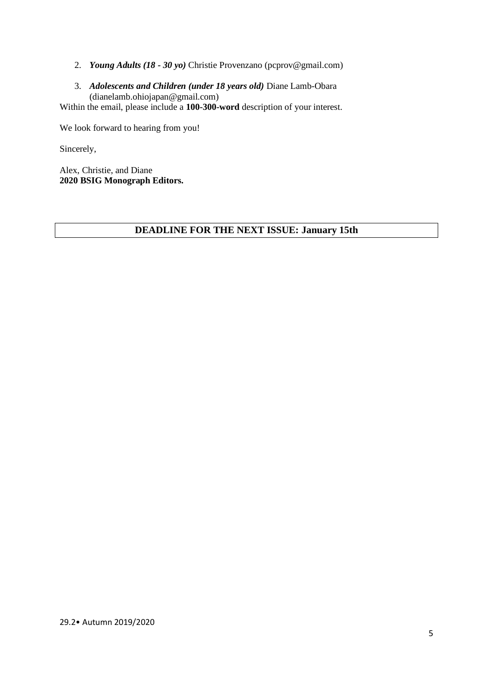- 2. *Young Adults (18 - 30 yo)* Christie Provenzano [\(pcprov@gmail.com\)](mailto:pcprov@gmail.com)
- 3. *Adolescents and Children (under 18 years old)* Diane Lamb-Obara (dianelamb.ohiojapan@gmail.com)

Within the email, please include a **100-300-word** description of your interest.

We look forward to hearing from you!

Sincerely,

Alex, Christie, and Diane **2020 BSIG Monograph Editors.**

# **DEADLINE FOR THE NEXT ISSUE: January 15th**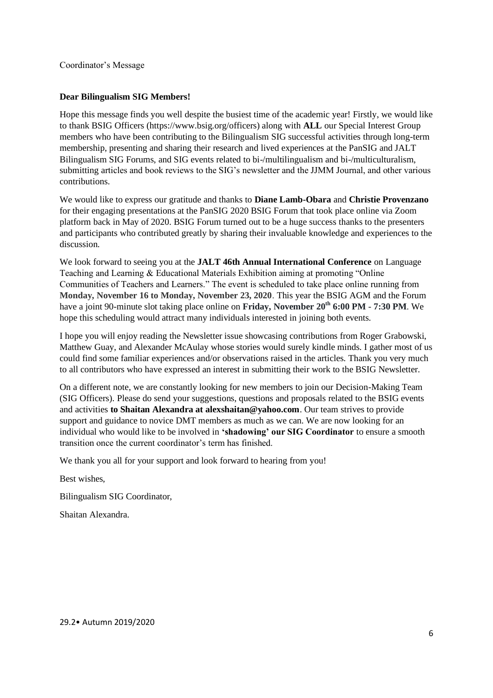<span id="page-5-0"></span>Coordinator's Message

# **Dear Bilingualism SIG Members!**

Hope this message finds you well despite the busiest time of the academic year! Firstly, we would like to thank BSIG Officers (https://www.bsig.org/officers) along with **ALL** our Special Interest Group members who have been contributing to the Bilingualism SIG successful activities through long-term membership, presenting and sharing their research and lived experiences at the PanSIG and JALT Bilingualism SIG Forums, and SIG events related to bi-/multilingualism and bi-/multiculturalism, submitting articles and book reviews to the SIG's newsletter and the JJMM Journal, and other various contributions.

We would like to express our gratitude and thanks to **Diane Lamb-Obara** and **Christie Provenzano** for their engaging presentations at the PanSIG 2020 BSIG Forum that took place online via Zoom platform back in May of 2020. BSIG Forum turned out to be a huge success thanks to the presenters and participants who contributed greatly by sharing their invaluable knowledge and experiences to the discussion.

We look forward to seeing you at the **JALT 46th Annual International Conference** on Language Teaching and Learning & Educational Materials Exhibition aiming at promoting "Online Communities of Teachers and Learners." The event is scheduled to take place online running from **Monday, November 16 to Monday, November 23, 2020**. This year the BSIG AGM and the Forum have a joint 90-minute slot taking place online on **Friday, November 20th 6:00 PM - 7:30 PM**. We hope this scheduling would attract many individuals interested in joining both events.

I hope you will enjoy reading the Newsletter issue showcasing contributions from Roger Grabowski, Matthew Guay, and Alexander McAulay whose stories would surely kindle minds. I gather most of us could find some familiar experiences and/or observations raised in the articles. Thank you very much to all contributors who have expressed an interest in submitting their work to the BSIG Newsletter.

On a different note, we are constantly looking for new members to join our Decision-Making Team (SIG Officers). Please do send your suggestions, questions and proposals related to the BSIG events and activities **to Shaitan Alexandra at alexshaitan@yahoo.com**. Our team strives to provide support and guidance to novice DMT members as much as we can. We are now looking for an individual who would like to be involved in **'shadowing' our SIG Coordinator** to ensure a smooth transition once the current coordinator's term has finished.

We thank you all for your support and look forward to hearing from you!

Best wishes,

Bilingualism SIG Coordinator,

Shaitan Alexandra.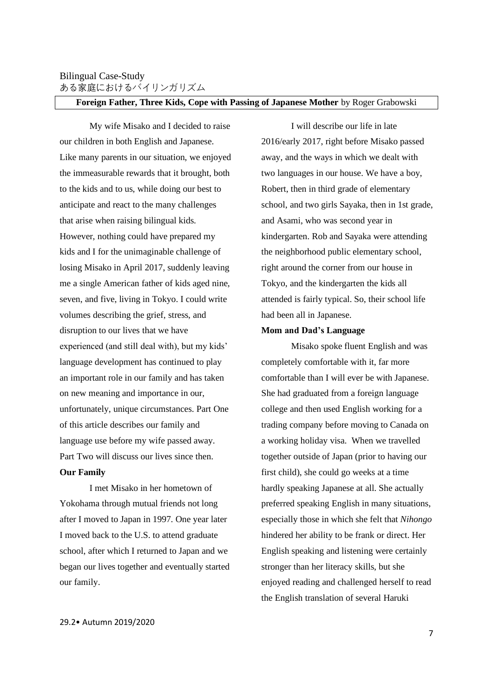# <span id="page-6-1"></span><span id="page-6-0"></span>**Foreign Father, Three Kids, Cope with Passing of Japanese Mother** by Roger Grabowski

My wife Misako and I decided to raise our children in both English and Japanese. Like many parents in our situation, we enjoyed the immeasurable rewards that it brought, both to the kids and to us, while doing our best to anticipate and react to the many challenges that arise when raising bilingual kids. However, nothing could have prepared my kids and I for the unimaginable challenge of losing Misako in April 2017, suddenly leaving me a single American father of kids aged nine, seven, and five, living in Tokyo. I could write volumes describing the grief, stress, and disruption to our lives that we have experienced (and still deal with), but my kids' language development has continued to play an important role in our family and has taken on new meaning and importance in our, unfortunately, unique circumstances. Part One of this article describes our family and language use before my wife passed away. Part Two will discuss our lives since then. **Our Family**

I met Misako in her hometown of Yokohama through mutual friends not long after I moved to Japan in 1997. One year later I moved back to the U.S. to attend graduate school, after which I returned to Japan and we began our lives together and eventually started our family.

I will describe our life in late 2016/early 2017, right before Misako passed away, and the ways in which we dealt with two languages in our house. We have a boy, Robert, then in third grade of elementary school, and two girls Sayaka, then in 1st grade, and Asami, who was second year in kindergarten. Rob and Sayaka were attending the neighborhood public elementary school, right around the corner from our house in Tokyo, and the kindergarten the kids all attended is fairly typical. So, their school life had been all in Japanese.

## **Mom and Dad's Language**

Misako spoke fluent English and was completely comfortable with it, far more comfortable than I will ever be with Japanese. She had graduated from a foreign language college and then used English working for a trading company before moving to Canada on a working holiday visa. When we travelled together outside of Japan (prior to having our first child), she could go weeks at a time hardly speaking Japanese at all. She actually preferred speaking English in many situations, especially those in which she felt that *Nihongo* hindered her ability to be frank or direct. Her English speaking and listening were certainly stronger than her literacy skills, but she enjoyed reading and challenged herself to read the English translation of several Haruki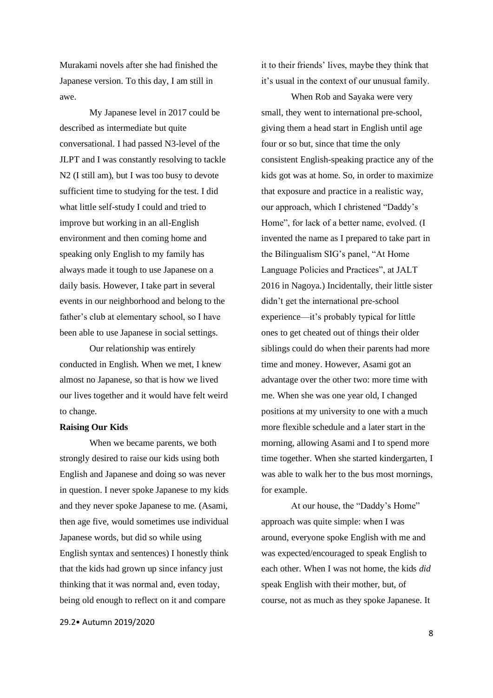Murakami novels after she had finished the Japanese version. To this day, I am still in awe.

My Japanese level in 2017 could be described as intermediate but quite conversational. I had passed N3-level of the JLPT and I was constantly resolving to tackle N2 (I still am), but I was too busy to devote sufficient time to studying for the test. I did what little self-study I could and tried to improve but working in an all-English environment and then coming home and speaking only English to my family has always made it tough to use Japanese on a daily basis. However, I take part in several events in our neighborhood and belong to the father's club at elementary school, so I have been able to use Japanese in social settings.

Our relationship was entirely conducted in English. When we met, I knew almost no Japanese, so that is how we lived our lives together and it would have felt weird to change.

#### **Raising Our Kids**

When we became parents, we both strongly desired to raise our kids using both English and Japanese and doing so was never in question. I never spoke Japanese to my kids and they never spoke Japanese to me. (Asami, then age five, would sometimes use individual Japanese words, but did so while using English syntax and sentences) I honestly think that the kids had grown up since infancy just thinking that it was normal and, even today, being old enough to reflect on it and compare

29.2• Autumn 2019/2020

it to their friends' lives, maybe they think that it's usual in the context of our unusual family.

When Rob and Sayaka were very small, they went to international pre-school, giving them a head start in English until age four or so but, since that time the only consistent English-speaking practice any of the kids got was at home. So, in order to maximize that exposure and practice in a realistic way, our approach, which I christened "Daddy's Home", for lack of a better name, evolved. (I invented the name as I prepared to take part in the Bilingualism SIG's panel, "At Home Language Policies and Practices", at JALT 2016 in Nagoya.) Incidentally, their little sister didn't get the international pre-school experience—it's probably typical for little ones to get cheated out of things their older siblings could do when their parents had more time and money. However, Asami got an advantage over the other two: more time with me. When she was one year old, I changed positions at my university to one with a much more flexible schedule and a later start in the morning, allowing Asami and I to spend more time together. When she started kindergarten, I was able to walk her to the bus most mornings, for example.

At our house, the "Daddy's Home" approach was quite simple: when I was around, everyone spoke English with me and was expected/encouraged to speak English to each other. When I was not home, the kids *did* speak English with their mother, but, of course, not as much as they spoke Japanese. It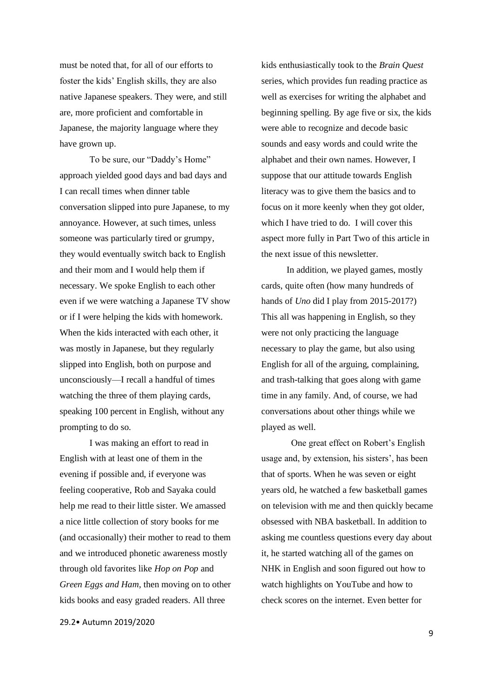must be noted that, for all of our efforts to foster the kids' English skills, they are also native Japanese speakers. They were, and still are, more proficient and comfortable in Japanese, the majority language where they have grown up.

To be sure, our "Daddy's Home" approach yielded good days and bad days and I can recall times when dinner table conversation slipped into pure Japanese, to my annoyance. However, at such times, unless someone was particularly tired or grumpy, they would eventually switch back to English and their mom and I would help them if necessary. We spoke English to each other even if we were watching a Japanese TV show or if I were helping the kids with homework. When the kids interacted with each other, it was mostly in Japanese, but they regularly slipped into English, both on purpose and unconsciously—I recall a handful of times watching the three of them playing cards, speaking 100 percent in English, without any prompting to do so.

I was making an effort to read in English with at least one of them in the evening if possible and, if everyone was feeling cooperative, Rob and Sayaka could help me read to their little sister. We amassed a nice little collection of story books for me (and occasionally) their mother to read to them and we introduced phonetic awareness mostly through old favorites like *Hop on Pop* and *Green Eggs and Ham*, then moving on to other kids books and easy graded readers. All three

29.2• Autumn 2019/2020

kids enthusiastically took to the *Brain Quest* series, which provides fun reading practice as well as exercises for writing the alphabet and beginning spelling. By age five or six, the kids were able to recognize and decode basic sounds and easy words and could write the alphabet and their own names. However, I suppose that our attitude towards English literacy was to give them the basics and to focus on it more keenly when they got older, which I have tried to do. I will cover this aspect more fully in Part Two of this article in the next issue of this newsletter.

 In addition, we played games, mostly cards, quite often (how many hundreds of hands of *Uno* did I play from 2015-2017?) This all was happening in English, so they were not only practicing the language necessary to play the game, but also using English for all of the arguing, complaining, and trash-talking that goes along with game time in any family. And, of course, we had conversations about other things while we played as well.

One great effect on Robert's English usage and, by extension, his sisters', has been that of sports. When he was seven or eight years old, he watched a few basketball games on television with me and then quickly became obsessed with NBA basketball. In addition to asking me countless questions every day about it, he started watching all of the games on NHK in English and soon figured out how to watch highlights on YouTube and how to check scores on the internet. Even better for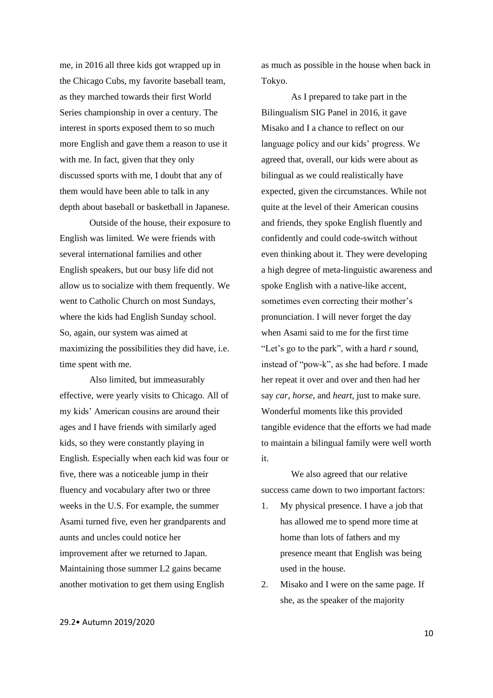me, in 2016 all three kids got wrapped up in the Chicago Cubs, my favorite baseball team, as they marched towards their first World Series championship in over a century. The interest in sports exposed them to so much more English and gave them a reason to use it with me. In fact, given that they only discussed sports with me, I doubt that any of them would have been able to talk in any depth about baseball or basketball in Japanese.

Outside of the house, their exposure to English was limited. We were friends with several international families and other English speakers, but our busy life did not allow us to socialize with them frequently. We went to Catholic Church on most Sundays, where the kids had English Sunday school. So, again, our system was aimed at maximizing the possibilities they did have, i.e. time spent with me.

Also limited, but immeasurably effective, were yearly visits to Chicago. All of my kids' American cousins are around their ages and I have friends with similarly aged kids, so they were constantly playing in English. Especially when each kid was four or five, there was a noticeable jump in their fluency and vocabulary after two or three weeks in the U.S. For example, the summer Asami turned five, even her grandparents and aunts and uncles could notice her improvement after we returned to Japan. Maintaining those summer L2 gains became another motivation to get them using English

as much as possible in the house when back in Tokyo.

As I prepared to take part in the Bilingualism SIG Panel in 2016, it gave Misako and I a chance to reflect on our language policy and our kids' progress. We agreed that, overall, our kids were about as bilingual as we could realistically have expected, given the circumstances. While not quite at the level of their American cousins and friends, they spoke English fluently and confidently and could code-switch without even thinking about it. They were developing a high degree of meta-linguistic awareness and spoke English with a native-like accent, sometimes even correcting their mother's pronunciation. I will never forget the day when Asami said to me for the first time "Let's go to the park", with a hard *r* sound, instead of "pow-k", as she had before. I made her repeat it over and over and then had her say *car*, *horse*, and *heart,* just to make sure. Wonderful moments like this provided tangible evidence that the efforts we had made to maintain a bilingual family were well worth it.

We also agreed that our relative success came down to two important factors:

- 1. My physical presence. I have a job that has allowed me to spend more time at home than lots of fathers and my presence meant that English was being used in the house.
- 2. Misako and I were on the same page. If she, as the speaker of the majority

29.2• Autumn 2019/2020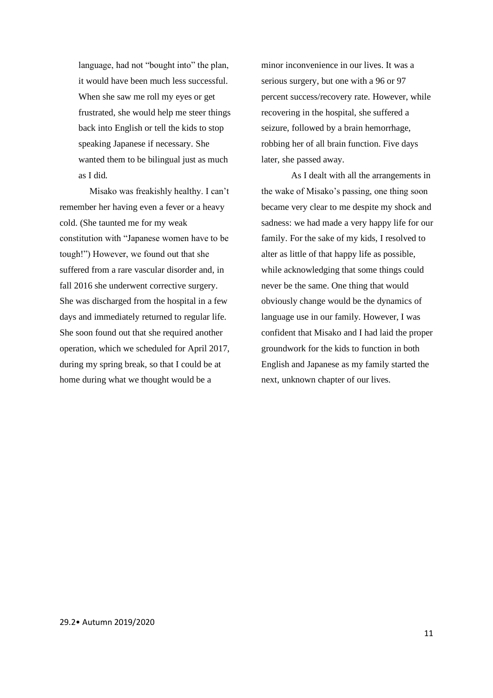language, had not "bought into" the plan, it would have been much less successful. When she saw me roll my eyes or get frustrated, she would help me steer things back into English or tell the kids to stop speaking Japanese if necessary. She wanted them to be bilingual just as much as I did.

Misako was freakishly healthy. I can't remember her having even a fever or a heavy cold. (She taunted me for my weak constitution with "Japanese women have to be tough!") However, we found out that she suffered from a rare vascular disorder and, in fall 2016 she underwent corrective surgery. She was discharged from the hospital in a few days and immediately returned to regular life. She soon found out that she required another operation, which we scheduled for April 2017, during my spring break, so that I could be at home during what we thought would be a

minor inconvenience in our lives. It was a serious surgery, but one with a 96 or 97 percent success/recovery rate. However, while recovering in the hospital, she suffered a seizure, followed by a brain hemorrhage, robbing her of all brain function. Five days later, she passed away.

As I dealt with all the arrangements in the wake of Misako's passing, one thing soon became very clear to me despite my shock and sadness: we had made a very happy life for our family. For the sake of my kids, I resolved to alter as little of that happy life as possible, while acknowledging that some things could never be the same. One thing that would obviously change would be the dynamics of language use in our family. However, I was confident that Misako and I had laid the proper groundwork for the kids to function in both English and Japanese as my family started the next, unknown chapter of our lives.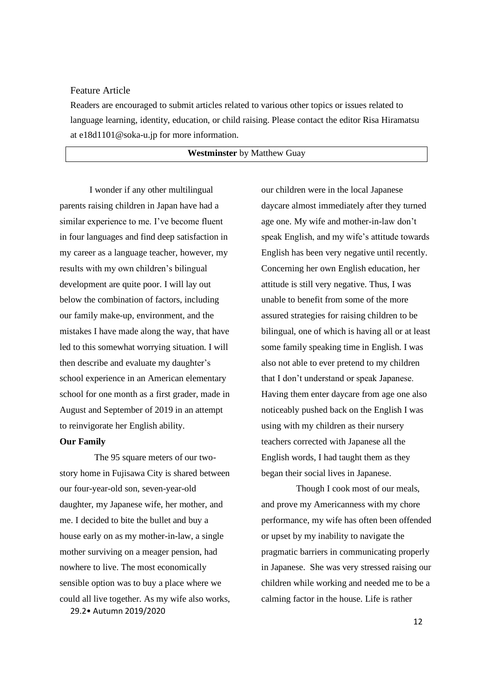# <span id="page-11-0"></span>Feature Article

<span id="page-11-1"></span>Readers are encouraged to submit articles related to various other topics or issues related to language learning, identity, education, or child raising. Please contact the editor Risa Hiramatsu at [e18d1101@soka-u.jp](mailto:e18d1101@soka-u.jp) for more information.

# **Westminster** by Matthew Guay

I wonder if any other multilingual parents raising children in Japan have had a similar experience to me. I've become fluent in four languages and find deep satisfaction in my career as a language teacher, however, my results with my own children's bilingual development are quite poor. I will lay out below the combination of factors, including our family make-up, environment, and the mistakes I have made along the way, that have led to this somewhat worrying situation. I will then describe and evaluate my daughter's school experience in an American elementary school for one month as a first grader, made in August and September of 2019 in an attempt to reinvigorate her English ability.

# **Our Family**

29.2• Autumn 2019/2020 The 95 square meters of our twostory home in Fujisawa City is shared between our four-year-old son, seven-year-old daughter, my Japanese wife, her mother, and me. I decided to bite the bullet and buy a house early on as my mother-in-law, a single mother surviving on a meager pension, had nowhere to live. The most economically sensible option was to buy a place where we could all live together. As my wife also works, our children were in the local Japanese daycare almost immediately after they turned age one. My wife and mother-in-law don't speak English, and my wife's attitude towards English has been very negative until recently. Concerning her own English education, her attitude is still very negative. Thus, I was unable to benefit from some of the more assured strategies for raising children to be bilingual, one of which is having all or at least some family speaking time in English. I was also not able to ever pretend to my children that I don't understand or speak Japanese. Having them enter daycare from age one also noticeably pushed back on the English I was using with my children as their nursery teachers corrected with Japanese all the English words, I had taught them as they began their social lives in Japanese.

Though I cook most of our meals, and prove my Americanness with my chore performance, my wife has often been offended or upset by my inability to navigate the pragmatic barriers in communicating properly in Japanese. She was very stressed raising our children while working and needed me to be a calming factor in the house. Life is rather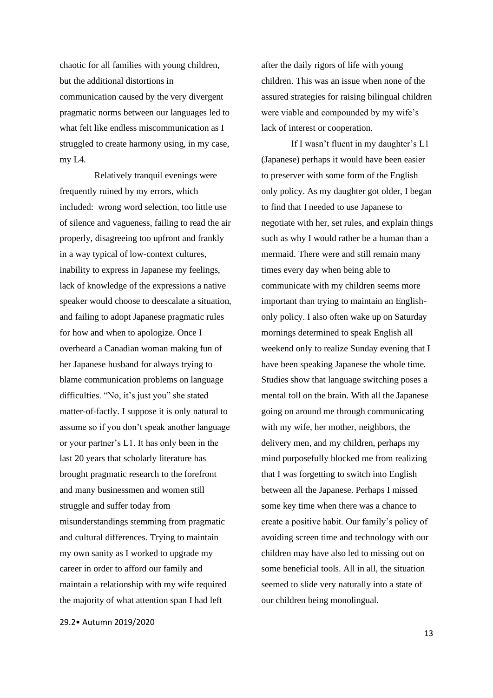chaotic for all families with young children, but the additional distortions in communication caused by the very divergent pragmatic norms between our languages led to what felt like endless miscommunication as I struggled to create harmony using, in my case, my L4.

Relatively tranquil evenings were frequently ruined by my errors, which included: wrong word selection, too little use of silence and vagueness, failing to read the air properly, disagreeing too upfront and frankly in a way typical of low-context cultures, inability to express in Japanese my feelings, lack of knowledge of the expressions a native speaker would choose to deescalate a situation, and failing to adopt Japanese pragmatic rules for how and when to apologize. Once I overheard a Canadian woman making fun of her Japanese husband for always trying to blame communication problems on language difficulties. "No, it's just you" she stated matter-of-factly. I suppose it is only natural to assume so if you don't speak another language or your partner's L1. It has only been in the last 20 years that scholarly literature has brought pragmatic research to the forefront and many businessmen and women still struggle and suffer today from misunderstandings stemming from pragmatic and cultural differences. Trying to maintain my own sanity as I worked to upgrade my career in order to afford our family and maintain a relationship with my wife required the majority of what attention span I had left

29.2• Autumn 2019/2020

after the daily rigors of life with young children. This was an issue when none of the assured strategies for raising bilingual children were viable and compounded by my wife's lack of interest or cooperation.

If I wasn't fluent in my daughter's L1 (Japanese) perhaps it would have been easier to preserver with some form of the English only policy. As my daughter got older, I began to find that I needed to use Japanese to negotiate with her, set rules, and explain things such as why I would rather be a human than a mermaid. There were and still remain many times every day when being able to communicate with my children seems more important than trying to maintain an Englishonly policy. I also often wake up on Saturday mornings determined to speak English all weekend only to realize Sunday evening that I have been speaking Japanese the whole time. Studies show that language switching poses a mental toll on the brain. With all the Japanese going on around me through communicating with my wife, her mother, neighbors, the delivery men, and my children, perhaps my mind purposefully blocked me from realizing that I was forgetting to switch into English between all the Japanese. Perhaps I missed some key time when there was a chance to create a positive habit. Our family's policy of avoiding screen time and technology with our children may have also led to missing out on some beneficial tools. All in all, the situation seemed to slide very naturally into a state of our children being monolingual.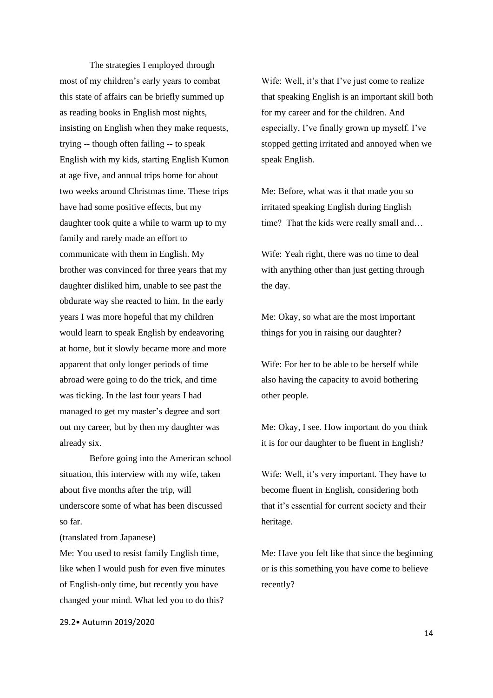The strategies I employed through most of my children's early years to combat this state of affairs can be briefly summed up as reading books in English most nights, insisting on English when they make requests, trying -- though often failing -- to speak English with my kids, starting English Kumon at age five, and annual trips home for about two weeks around Christmas time. These trips have had some positive effects, but my daughter took quite a while to warm up to my family and rarely made an effort to communicate with them in English. My brother was convinced for three years that my daughter disliked him, unable to see past the obdurate way she reacted to him. In the early years I was more hopeful that my children would learn to speak English by endeavoring at home, but it slowly became more and more apparent that only longer periods of time abroad were going to do the trick, and time was ticking. In the last four years I had managed to get my master's degree and sort out my career, but by then my daughter was already six.

Before going into the American school situation, this interview with my wife, taken about five months after the trip, will underscore some of what has been discussed so far.

(translated from Japanese)

Me: You used to resist family English time, like when I would push for even five minutes of English-only time, but recently you have changed your mind. What led you to do this?

29.2• Autumn 2019/2020

Wife: Well, it's that I've just come to realize that speaking English is an important skill both for my career and for the children. And especially, I've finally grown up myself. I've stopped getting irritated and annoyed when we speak English.

Me: Before, what was it that made you so irritated speaking English during English time? That the kids were really small and…

Wife: Yeah right, there was no time to deal with anything other than just getting through the day.

Me: Okay, so what are the most important things for you in raising our daughter?

Wife: For her to be able to be herself while also having the capacity to avoid bothering other people.

Me: Okay, I see. How important do you think it is for our daughter to be fluent in English?

Wife: Well, it's very important. They have to become fluent in English, considering both that it's essential for current society and their heritage.

Me: Have you felt like that since the beginning or is this something you have come to believe recently?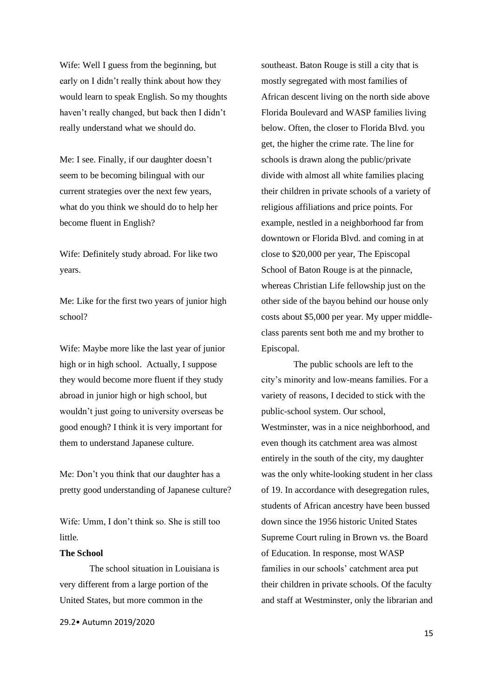Wife: Well I guess from the beginning, but early on I didn't really think about how they would learn to speak English. So my thoughts haven't really changed, but back then I didn't really understand what we should do.

Me: I see. Finally, if our daughter doesn't seem to be becoming bilingual with our current strategies over the next few years, what do you think we should do to help her become fluent in English?

Wife: Definitely study abroad. For like two years.

Me: Like for the first two years of junior high school?

Wife: Maybe more like the last year of junior high or in high school. Actually, I suppose they would become more fluent if they study abroad in junior high or high school, but wouldn't just going to university overseas be good enough? I think it is very important for them to understand Japanese culture.

Me: Don't you think that our daughter has a pretty good understanding of Japanese culture?

Wife: Umm, I don't think so. She is still too little.

#### **The School**

The school situation in Louisiana is very different from a large portion of the United States, but more common in the

29.2• Autumn 2019/2020

southeast. Baton Rouge is still a city that is mostly segregated with most families of African descent living on the north side above Florida Boulevard and WASP families living below. Often, the closer to Florida Blvd. you get, the higher the crime rate. The line for schools is drawn along the public/private divide with almost all white families placing their children in private schools of a variety of religious affiliations and price points. For example, nestled in a neighborhood far from downtown or Florida Blvd. and coming in at close to \$20,000 per year, The Episcopal School of Baton Rouge is at the pinnacle, whereas Christian Life fellowship just on the other side of the bayou behind our house only costs about \$5,000 per year. My upper middleclass parents sent both me and my brother to Episcopal.

The public schools are left to the city's minority and low-means families. For a variety of reasons, I decided to stick with the public-school system. Our school, Westminster, was in a nice neighborhood, and even though its catchment area was almost entirely in the south of the city, my daughter was the only white-looking student in her class of 19. In accordance with desegregation rules, students of African ancestry have been bussed down since the 1956 historic United States Supreme Court ruling in Brown vs. the Board of Education. In response, most WASP families in our schools' catchment area put their children in private schools. Of the faculty and staff at Westminster, only the librarian and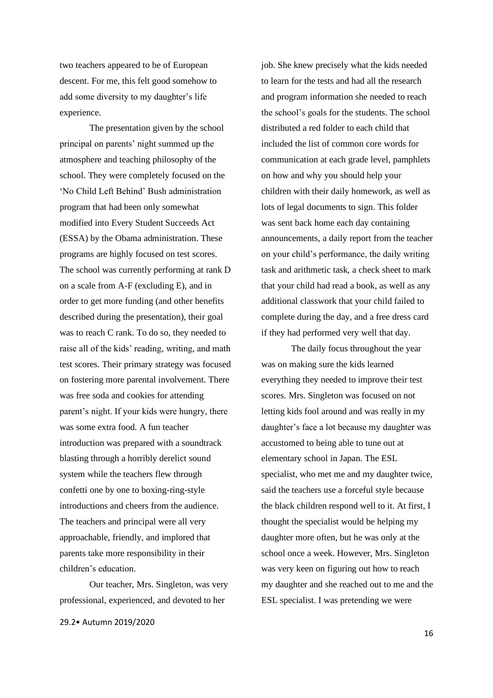two teachers appeared to be of European descent. For me, this felt good somehow to add some diversity to my daughter's life experience.

The presentation given by the school principal on parents' night summed up the atmosphere and teaching philosophy of the school. They were completely focused on the 'No Child Left Behind' Bush administration program that had been only somewhat modified into Every Student Succeeds Act (ESSA) by the Obama administration. These programs are highly focused on test scores. The school was currently performing at rank D on a scale from A-F (excluding E), and in order to get more funding (and other benefits described during the presentation), their goal was to reach C rank. To do so, they needed to raise all of the kids' reading, writing, and math test scores. Their primary strategy was focused on fostering more parental involvement. There was free soda and cookies for attending parent's night. If your kids were hungry, there was some extra food. A fun teacher introduction was prepared with a soundtrack blasting through a horribly derelict sound system while the teachers flew through confetti one by one to boxing-ring-style introductions and cheers from the audience. The teachers and principal were all very approachable, friendly, and implored that parents take more responsibility in their children's education.

 Our teacher, Mrs. Singleton, was very professional, experienced, and devoted to her

job. She knew precisely what the kids needed to learn for the tests and had all the research and program information she needed to reach the school's goals for the students. The school distributed a red folder to each child that included the list of common core words for communication at each grade level, pamphlets on how and why you should help your children with their daily homework, as well as lots of legal documents to sign. This folder was sent back home each day containing announcements, a daily report from the teacher on your child's performance, the daily writing task and arithmetic task, a check sheet to mark that your child had read a book, as well as any additional classwork that your child failed to complete during the day, and a free dress card if they had performed very well that day.

The daily focus throughout the year was on making sure the kids learned everything they needed to improve their test scores. Mrs. Singleton was focused on not letting kids fool around and was really in my daughter's face a lot because my daughter was accustomed to being able to tune out at elementary school in Japan. The ESL specialist, who met me and my daughter twice, said the teachers use a forceful style because the black children respond well to it. At first, I thought the specialist would be helping my daughter more often, but he was only at the school once a week. However, Mrs. Singleton was very keen on figuring out how to reach my daughter and she reached out to me and the ESL specialist. I was pretending we were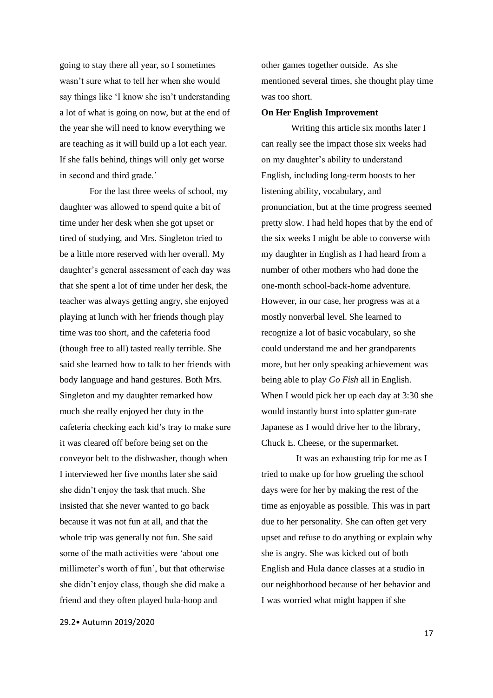going to stay there all year, so I sometimes wasn't sure what to tell her when she would say things like 'I know she isn't understanding a lot of what is going on now, but at the end of the year she will need to know everything we are teaching as it will build up a lot each year. If she falls behind, things will only get worse in second and third grade.'

For the last three weeks of school, my daughter was allowed to spend quite a bit of time under her desk when she got upset or tired of studying, and Mrs. Singleton tried to be a little more reserved with her overall. My daughter's general assessment of each day was that she spent a lot of time under her desk, the teacher was always getting angry, she enjoyed playing at lunch with her friends though play time was too short, and the cafeteria food (though free to all) tasted really terrible. She said she learned how to talk to her friends with body language and hand gestures. Both Mrs. Singleton and my daughter remarked how much she really enjoyed her duty in the cafeteria checking each kid's tray to make sure it was cleared off before being set on the conveyor belt to the dishwasher, though when I interviewed her five months later she said she didn't enjoy the task that much. She insisted that she never wanted to go back because it was not fun at all, and that the whole trip was generally not fun. She said some of the math activities were 'about one millimeter's worth of fun', but that otherwise she didn't enjoy class, though she did make a friend and they often played hula-hoop and

29.2• Autumn 2019/2020

other games together outside. As she mentioned several times, she thought play time was too short.

#### **On Her English Improvement**

Writing this article six months later I can really see the impact those six weeks had on my daughter's ability to understand English, including long-term boosts to her listening ability, vocabulary, and pronunciation, but at the time progress seemed pretty slow. I had held hopes that by the end of the six weeks I might be able to converse with my daughter in English as I had heard from a number of other mothers who had done the one-month school-back-home adventure. However, in our case, her progress was at a mostly nonverbal level. She learned to recognize a lot of basic vocabulary, so she could understand me and her grandparents more, but her only speaking achievement was being able to play *Go Fish* all in English. When I would pick her up each day at 3:30 she would instantly burst into splatter gun-rate Japanese as I would drive her to the library, Chuck E. Cheese, or the supermarket.

It was an exhausting trip for me as I tried to make up for how grueling the school days were for her by making the rest of the time as enjoyable as possible. This was in part due to her personality. She can often get very upset and refuse to do anything or explain why she is angry. She was kicked out of both English and Hula dance classes at a studio in our neighborhood because of her behavior and I was worried what might happen if she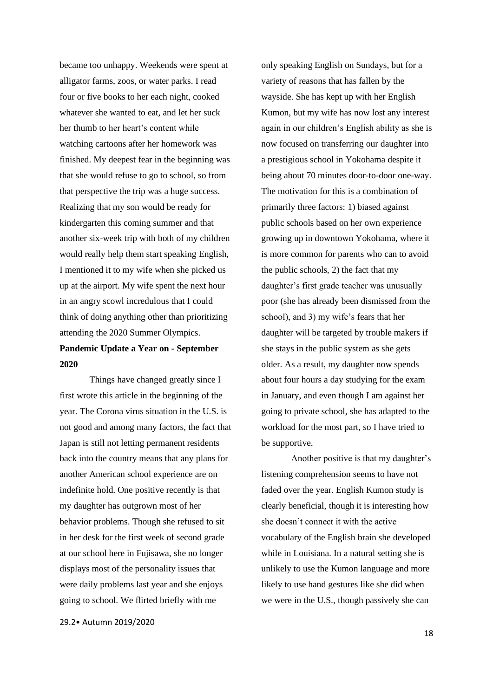became too unhappy. Weekends were spent at alligator farms, zoos, or water parks. I read four or five books to her each night, cooked whatever she wanted to eat, and let her suck her thumb to her heart's content while watching cartoons after her homework was finished. My deepest fear in the beginning was that she would refuse to go to school, so from that perspective the trip was a huge success. Realizing that my son would be ready for kindergarten this coming summer and that another six-week trip with both of my children would really help them start speaking English, I mentioned it to my wife when she picked us up at the airport. My wife spent the next hour in an angry scowl incredulous that I could think of doing anything other than prioritizing attending the 2020 Summer Olympics.

# **Pandemic Update a Year on - September 2020**

Things have changed greatly since I first wrote this article in the beginning of the year. The Corona virus situation in the U.S. is not good and among many factors, the fact that Japan is still not letting permanent residents back into the country means that any plans for another American school experience are on indefinite hold. One positive recently is that my daughter has outgrown most of her behavior problems. Though she refused to sit in her desk for the first week of second grade at our school here in Fujisawa, she no longer displays most of the personality issues that were daily problems last year and she enjoys going to school. We flirted briefly with me

29.2• Autumn 2019/2020

only speaking English on Sundays, but for a variety of reasons that has fallen by the wayside. She has kept up with her English Kumon, but my wife has now lost any interest again in our children's English ability as she is now focused on transferring our daughter into a prestigious school in Yokohama despite it being about 70 minutes door-to-door one-way. The motivation for this is a combination of primarily three factors: 1) biased against public schools based on her own experience growing up in downtown Yokohama, where it is more common for parents who can to avoid the public schools, 2) the fact that my daughter's first grade teacher was unusually poor (she has already been dismissed from the school), and 3) my wife's fears that her daughter will be targeted by trouble makers if she stays in the public system as she gets older. As a result, my daughter now spends about four hours a day studying for the exam in January, and even though I am against her going to private school, she has adapted to the workload for the most part, so I have tried to be supportive.

Another positive is that my daughter's listening comprehension seems to have not faded over the year. English Kumon study is clearly beneficial, though it is interesting how she doesn't connect it with the active vocabulary of the English brain she developed while in Louisiana. In a natural setting she is unlikely to use the Kumon language and more likely to use hand gestures like she did when we were in the U.S., though passively she can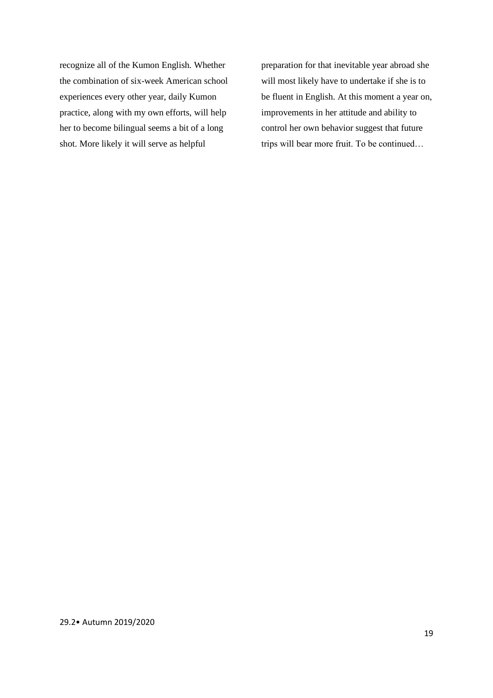recognize all of the Kumon English. Whether the combination of six-week American school experiences every other year, daily Kumon practice, along with my own efforts, will help her to become bilingual seems a bit of a long shot. More likely it will serve as helpful

preparation for that inevitable year abroad she will most likely have to undertake if she is to be fluent in English. At this moment a year on, improvements in her attitude and ability to control her own behavior suggest that future trips will bear more fruit. To be continued…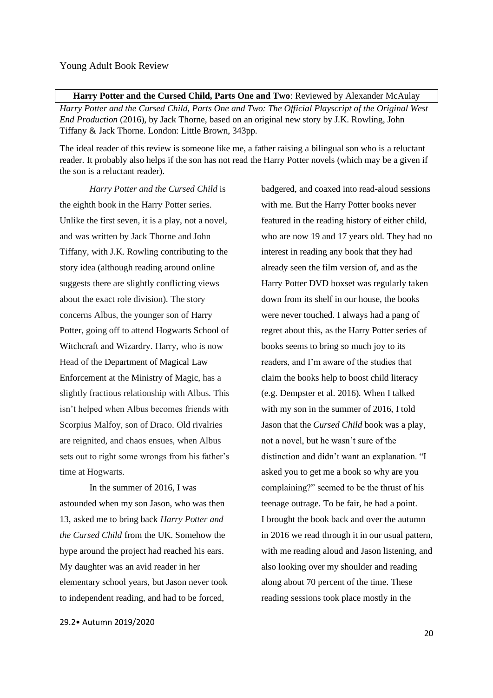<span id="page-19-1"></span><span id="page-19-0"></span>**Harry Potter and the Cursed Child, Parts One and Two**: Reviewed by Alexander McAulay

*Harry Potter and the Cursed Child, Parts One and Two: The Official Playscript of the Original West End Production* (2016), by Jack Thorne, based on an original new story by J.K. Rowling, John Tiffany & Jack Thorne. London: Little Brown, 343pp.

The ideal reader of this review is someone like me, a father raising a bilingual son who is a reluctant reader. It probably also helps if the son has not read the Harry Potter novels (which may be a given if the son is a reluctant reader).

*Harry Potter and the Cursed Child* is the eighth book in the Harry Potter series. Unlike the first seven, it is a play, not a novel, and was written by Jack Thorne and John Tiffany, with J.K. Rowling contributing to the story idea (although reading around online suggests there are slightly conflicting views about the exact role division). The story concerns Albus, the younger son of Harry Potter, going off to attend Hogwarts School of Witchcraft and Wizardry. Harry, who is now Head of the Department of Magical Law Enforcement at the Ministry of Magic, has a slightly fractious relationship with Albus. This isn't helped when Albus becomes friends with Scorpius Malfoy, son of Draco. Old rivalries are reignited, and chaos ensues, when Albus sets out to right some wrongs from his father's time at Hogwarts.

In the summer of 2016, I was astounded when my son Jason, who was then 13, asked me to bring back *Harry Potter and the Cursed Child* from the UK. Somehow the hype around the project had reached his ears. My daughter was an avid reader in her elementary school years, but Jason never took to independent reading, and had to be forced,

29.2• Autumn 2019/2020

badgered, and coaxed into read-aloud sessions with me. But the Harry Potter books never featured in the reading history of either child, who are now 19 and 17 years old. They had no interest in reading any book that they had already seen the film version of, and as the Harry Potter DVD boxset was regularly taken down from its shelf in our house, the books were never touched. I always had a pang of regret about this, as the Harry Potter series of books seems to bring so much joy to its readers, and I'm aware of the studies that claim the books help to boost child literacy (e.g. Dempster et al. 2016). When I talked with my son in the summer of 2016, I told Jason that the *Cursed Child* book was a play, not a novel, but he wasn't sure of the distinction and didn't want an explanation. "I asked you to get me a book so why are you complaining?" seemed to be the thrust of his teenage outrage. To be fair, he had a point. I brought the book back and over the autumn in 2016 we read through it in our usual pattern, with me reading aloud and Jason listening, and also looking over my shoulder and reading along about 70 percent of the time. These reading sessions took place mostly in the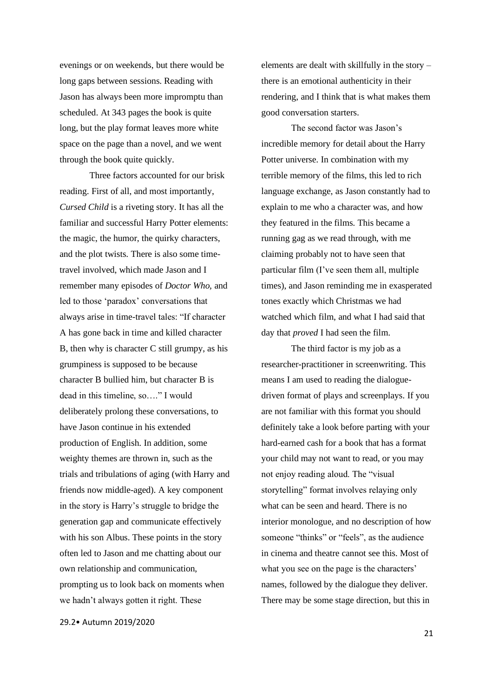evenings or on weekends, but there would be long gaps between sessions. Reading with Jason has always been more impromptu than scheduled. At 343 pages the book is quite long, but the play format leaves more white space on the page than a novel, and we went through the book quite quickly.

Three factors accounted for our brisk reading. First of all, and most importantly, *Cursed Child* is a riveting story. It has all the familiar and successful Harry Potter elements: the magic, the humor, the quirky characters, and the plot twists. There is also some timetravel involved, which made Jason and I remember many episodes of *Doctor Who,* and led to those 'paradox' conversations that always arise in time-travel tales: "If character A has gone back in time and killed character B, then why is character C still grumpy, as his grumpiness is supposed to be because character B bullied him, but character B is dead in this timeline, so…." I would deliberately prolong these conversations, to have Jason continue in his extended production of English. In addition, some weighty themes are thrown in, such as the trials and tribulations of aging (with Harry and friends now middle-aged). A key component in the story is Harry's struggle to bridge the generation gap and communicate effectively with his son Albus. These points in the story often led to Jason and me chatting about our own relationship and communication, prompting us to look back on moments when we hadn't always gotten it right. These

29.2• Autumn 2019/2020

elements are dealt with skillfully in the story – there is an emotional authenticity in their rendering, and I think that is what makes them good conversation starters.

The second factor was Jason's incredible memory for detail about the Harry Potter universe. In combination with my terrible memory of the films, this led to rich language exchange, as Jason constantly had to explain to me who a character was, and how they featured in the films. This became a running gag as we read through, with me claiming probably not to have seen that particular film (I've seen them all, multiple times), and Jason reminding me in exasperated tones exactly which Christmas we had watched which film, and what I had said that day that *proved* I had seen the film.

The third factor is my job as a researcher-practitioner in screenwriting. This means I am used to reading the dialoguedriven format of plays and screenplays. If you are not familiar with this format you should definitely take a look before parting with your hard-earned cash for a book that has a format your child may not want to read, or you may not enjoy reading aloud. The "visual storytelling" format involves relaying only what can be seen and heard. There is no interior monologue, and no description of how someone "thinks" or "feels", as the audience in cinema and theatre cannot see this. Most of what you see on the page is the characters' names, followed by the dialogue they deliver. There may be some stage direction, but this in